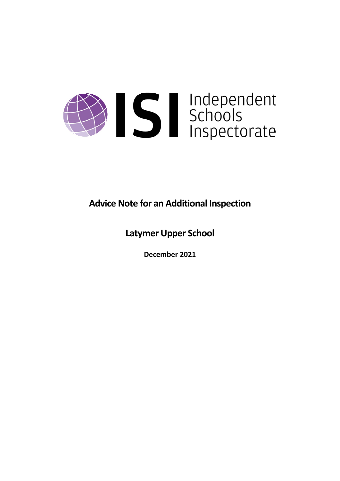

**Advice Note for an Additional Inspection**

**Latymer Upper School**

**December 2021**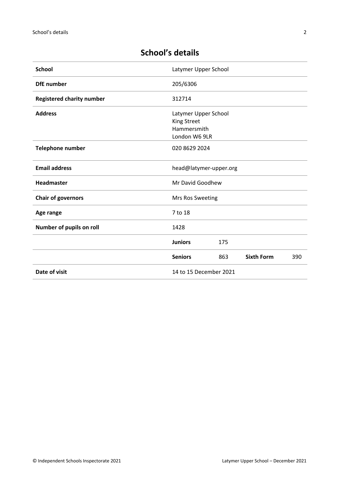# **School's details**

| <b>School</b>                    | Latymer Upper School                                                       |     |                   |     |
|----------------------------------|----------------------------------------------------------------------------|-----|-------------------|-----|
| <b>DfE</b> number                | 205/6306                                                                   |     |                   |     |
| <b>Registered charity number</b> | 312714                                                                     |     |                   |     |
| <b>Address</b>                   | Latymer Upper School<br><b>King Street</b><br>Hammersmith<br>London W6 9LR |     |                   |     |
| Telephone number                 | 020 8629 2024                                                              |     |                   |     |
| <b>Email address</b>             | head@latymer-upper.org                                                     |     |                   |     |
| Headmaster                       | Mr David Goodhew                                                           |     |                   |     |
| <b>Chair of governors</b>        | Mrs Ros Sweeting                                                           |     |                   |     |
| Age range                        | 7 to 18                                                                    |     |                   |     |
| Number of pupils on roll         | 1428                                                                       |     |                   |     |
|                                  | <b>Juniors</b>                                                             | 175 |                   |     |
|                                  | <b>Seniors</b>                                                             | 863 | <b>Sixth Form</b> | 390 |
| Date of visit                    | 14 to 15 December 2021                                                     |     |                   |     |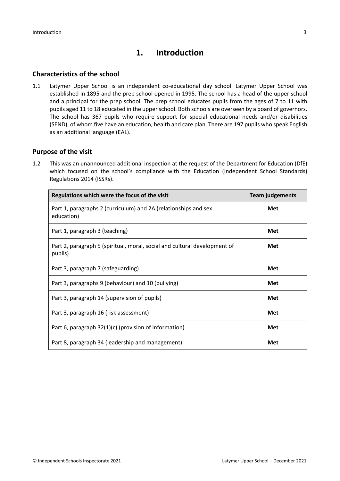# **1. Introduction**

## **Characteristics of the school**

1.1 Latymer Upper School is an independent co-educational day school. Latymer Upper School was established in 1895 and the prep school opened in 1995. The school has a head of the upper school and a principal for the prep school. The prep school educates pupils from the ages of 7 to 11 with pupils aged 11 to 18 educated in the upper school. Both schools are overseen by a board of governors. The school has 367 pupils who require support for special educational needs and/or disabilities (SEND), of whom five have an education, health and care plan. There are 197 pupils who speak English as an additional language (EAL).

## **Purpose of the visit**

1.2 This was an unannounced additional inspection at the request of the Department for Education (DfE) which focused on the school's compliance with the Education (Independent School Standards) Regulations 2014 (ISSRs).

| Regulations which were the focus of the visit                                        | <b>Team judgements</b> |  |
|--------------------------------------------------------------------------------------|------------------------|--|
| Part 1, paragraphs 2 (curriculum) and 2A (relationships and sex<br>education)        | Met                    |  |
| Part 1, paragraph 3 (teaching)                                                       | Met                    |  |
| Part 2, paragraph 5 (spiritual, moral, social and cultural development of<br>pupils) | Met                    |  |
| Part 3, paragraph 7 (safeguarding)                                                   | Met                    |  |
| Part 3, paragraphs 9 (behaviour) and 10 (bullying)                                   | Met                    |  |
| Part 3, paragraph 14 (supervision of pupils)                                         | Met                    |  |
| Part 3, paragraph 16 (risk assessment)                                               | Met                    |  |
| Part 6, paragraph 32(1)(c) (provision of information)                                | Met                    |  |
| Part 8, paragraph 34 (leadership and management)                                     | Met                    |  |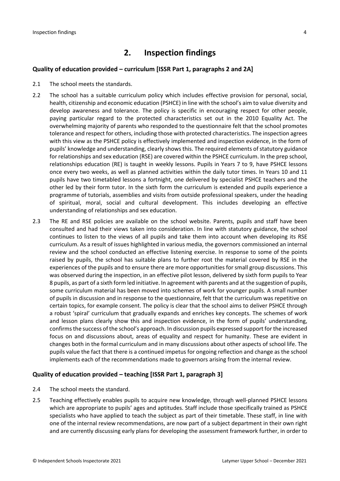# **2. Inspection findings**

## **Quality of education provided – curriculum [ISSR Part 1, paragraphs 2 and 2A]**

- 2.1 The school meets the standards.
- 2.2 The school has a suitable curriculum policy which includes effective provision for personal, social, health, citizenship and economic education (PSHCE) in line with the school's aim to value diversity and develop awareness and tolerance. The policy is specific in encouraging respect for other people, paying particular regard to the protected characteristics set out in the 2010 Equality Act. The overwhelming majority of parents who responded to the questionnaire felt that the school promotes tolerance and respect for others, including those with protected characteristics. The inspection agrees with this view as the PSHCE policy is effectively implemented and inspection evidence, in the form of pupils' knowledge and understanding, clearly shows this. The required elements of statutory guidance for relationships and sex education (RSE) are covered within the PSHCE curriculum. In the prep school, relationships education (RE) is taught in weekly lessons. Pupils in Years 7 to 9, have PSHCE lessons once every two weeks, as well as planned activities within the daily tutor times. In Years 10 and 11 pupils have two timetabled lessons a fortnight, one delivered by specialist PSHCE teachers and the other led by their form tutor. In the sixth form the curriculum is extended and pupils experience a programme of tutorials, assemblies and visits from outside professional speakers, under the heading of spiritual, moral, social and cultural development. This includes developing an effective understanding of relationships and sex education.
- 2.3 The RE and RSE policies are available on the school website. Parents, pupils and staff have been consulted and had their views taken into consideration. In line with statutory guidance, the school continues to listen to the views of all pupils and take them into account when developing its RSE curriculum. As a result of issues highlighted in various media, the governors commissioned an internal review and the school conducted an effective listening exercise. In response to some of the points raised by pupils, the school has suitable plans to further root the material covered by RSE in the experiences of the pupils and to ensure there are more opportunities for small group discussions. This was observed during the inspection, in an effective pilot lesson, delivered by sixth form pupils to Year 8 pupils, as part of a sixth form led initiative. In agreement with parents and at the suggestion of pupils, some curriculum material has been moved into schemes of work for younger pupils. A small number of pupils in discussion and in response to the questionnaire, felt that the curriculum was repetitive on certain topics, for example consent. The policy is clear that the school aims to deliver PSHCE through a robust 'spiral' curriculum that gradually expands and enriches key concepts. The schemes of work and lesson plans clearly show this and inspection evidence, in the form of pupils' understanding, confirmsthe success of the school's approach. In discussion pupils expressed support for the increased focus on and discussions about, areas of equality and respect for humanity. These are evident in changes both in the formal curriculum and in many discussions about other aspects of school life. The pupils value the fact that there is a continued impetus for ongoing reflection and change as the school implements each of the recommendations made to governors arising from the internal review.

#### **Quality of education provided – teaching [ISSR Part 1, paragraph 3]**

- 2.4 The school meets the standard.
- 2.5 Teaching effectively enables pupils to acquire new knowledge, through well-planned PSHCE lessons which are appropriate to pupils' ages and aptitudes. Staff include those specifically trained as PSHCE specialists who have applied to teach the subject as part of their timetable. These staff, in line with one of the internal review recommendations, are now part of a subject department in their own right and are currently discussing early plans for developing the assessment framework further, in order to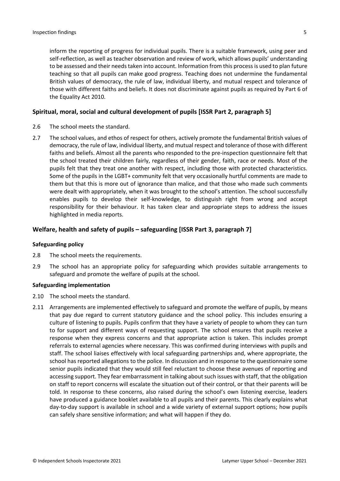inform the reporting of progress for individual pupils. There is a suitable framework, using peer and self-reflection, as well as teacher observation and review of work, which allows pupils' understanding to be assessed and their needs taken into account. Information from this process is used to plan future teaching so that all pupils can make good progress. Teaching does not undermine the fundamental British values of democracy, the rule of law, individual liberty, and mutual respect and tolerance of those with different faiths and beliefs. It does not discriminate against pupils as required by Part 6 of the Equality Act 2010.

#### **Spiritual, moral, social and cultural development of pupils [ISSR Part 2, paragraph 5]**

- 2.6 The school meets the standard.
- 2.7 The school values, and ethos of respect for others, actively promote the fundamental British values of democracy, the rule of law, individual liberty, and mutual respect and tolerance of those with different faiths and beliefs. Almost all the parents who responded to the pre-inspection questionnaire felt that the school treated their children fairly, regardless of their gender, faith, race or needs. Most of the pupils felt that they treat one another with respect, including those with protected characteristics. Some of the pupils in the LGBT+ community felt that very occasionally hurtful comments are made to them but that this is more out of ignorance than malice, and that those who made such comments were dealt with appropriately, when it was brought to the school's attention. The school successfully enables pupils to develop their self-knowledge, to distinguish right from wrong and accept responsibility for their behaviour. It has taken clear and appropriate steps to address the issues highlighted in media reports.

## **Welfare, health and safety of pupils – safeguarding [ISSR Part 3, paragraph 7]**

#### **Safeguarding policy**

- 2.8 The school meets the requirements.
- 2.9 The school has an appropriate policy for safeguarding which provides suitable arrangements to safeguard and promote the welfare of pupils at the school.

#### **Safeguarding implementation**

- 2.10 The school meets the standard.
- 2.11 Arrangements are implemented effectively to safeguard and promote the welfare of pupils, by means that pay due regard to current statutory guidance and the school policy. This includes ensuring a culture of listening to pupils. Pupils confirm that they have a variety of people to whom they can turn to for support and different ways of requesting support. The school ensures that pupils receive a response when they express concerns and that appropriate action is taken. This includes prompt referrals to external agencies where necessary. This was confirmed during interviews with pupils and staff. The school liaises effectively with local safeguarding partnerships and, where appropriate, the school has reported allegations to the police. In discussion and in response to the questionnaire some senior pupils indicated that they would still feel reluctant to choose these avenues of reporting and accessing support. They fear embarrassment in talking about such issues with staff, that the obligation on staff to report concerns will escalate the situation out of their control, or that their parents will be told. In response to these concerns, also raised during the school's own listening exercise, leaders have produced a guidance booklet available to all pupils and their parents. This clearly explains what day-to-day support is available in school and a wide variety of external support options; how pupils can safely share sensitive information; and what will happen if they do.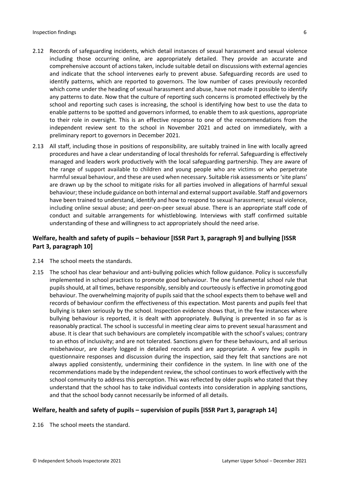- 2.12 Records of safeguarding incidents, which detail instances of sexual harassment and sexual violence including those occurring online, are appropriately detailed. They provide an accurate and comprehensive account of actions taken, include suitable detail on discussions with external agencies and indicate that the school intervenes early to prevent abuse. Safeguarding records are used to identify patterns, which are reported to governors. The low number of cases previously recorded which come under the heading of sexual harassment and abuse, have not made it possible to identify any patterns to date. Now that the culture of reporting such concerns is promoted effectively by the school and reporting such cases is increasing, the school is identifying how best to use the data to enable patterns to be spotted and governors informed, to enable them to ask questions, appropriate to their role in oversight. This is an effective response to one of the recommendations from the independent review sent to the school in November 2021 and acted on immediately, with a preliminary report to governors in December 2021.
- 2.13 All staff, including those in positions of responsibility, are suitably trained in line with locally agreed procedures and have a clear understanding of local thresholds for referral. Safeguarding is effectively managed and leaders work productively with the local safeguarding partnership. They are aware of the range of support available to children and young people who are victims or who perpetrate harmful sexual behaviour, and these are used when necessary. Suitable risk assessments or 'site plans' are drawn up by the school to mitigate risks for all parties involved in allegations of harmful sexual behaviour; these include guidance on both internal and externalsupport available. Staff and governors have been trained to understand, identify and how to respond to sexual harassment; sexual violence, including online sexual abuse; and peer-on-peer sexual abuse. There is an appropriate staff code of conduct and suitable arrangements for whistleblowing. Interviews with staff confirmed suitable understanding of these and willingness to act appropriately should the need arise.

## **Welfare, health and safety of pupils – behaviour [ISSR Part 3, paragraph 9] and bullying [ISSR Part 3, paragraph 10]**

- 2.14 The school meets the standards.
- 2.15 The school has clear behaviour and anti-bullying policies which follow guidance. Policy is successfully implemented in school practices to promote good behaviour. The one fundamental school rule that pupilsshould, at all times, behave responsibly, sensibly and courteously is effective in promoting good behaviour. The overwhelming majority of pupils said that the school expects them to behave well and records of behaviour confirm the effectiveness of this expectation. Most parents and pupils feel that bullying is taken seriously by the school. Inspection evidence shows that, in the few instances where bullying behaviour is reported, it is dealt with appropriately. Bullying is prevented in so far as is reasonably practical. The school is successful in meeting clear aims to prevent sexual harassment and abuse. It is clear that such behaviours are completely incompatible with the school's values; contrary to an ethos of inclusivity; and are not tolerated. Sanctions given for these behaviours, and all serious misbehaviour, are clearly logged in detailed records and are appropriate. A very few pupils in questionnaire responses and discussion during the inspection, said they felt that sanctions are not always applied consistently, undermining their confidence in the system. In line with one of the recommendations made by the independent review, the school continues to work effectively with the school community to address this perception. This was reflected by older pupils who stated that they understand that the school has to take individual contexts into consideration in applying sanctions, and that the school body cannot necessarily be informed of all details.

## **Welfare, health and safety of pupils – supervision of pupils [ISSR Part 3, paragraph 14]**

2.16 The school meets the standard.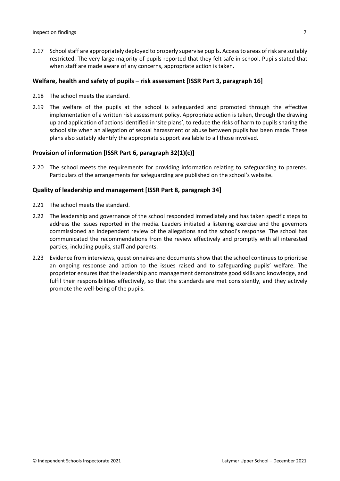2.17 School staff are appropriately deployed to properly supervise pupils. Access to areas of risk are suitably restricted. The very large majority of pupils reported that they felt safe in school. Pupils stated that when staff are made aware of any concerns, appropriate action is taken.

#### **Welfare, health and safety of pupils – risk assessment [ISSR Part 3, paragraph 16]**

- 2.18 The school meets the standard.
- 2.19 The welfare of the pupils at the school is safeguarded and promoted through the effective implementation of a written risk assessment policy. Appropriate action is taken, through the drawing up and application of actions identified in 'site plans', to reduce the risks of harm to pupils sharing the school site when an allegation of sexual harassment or abuse between pupils has been made. These plans also suitably identify the appropriate support available to all those involved.

### **Provision of information [ISSR Part 6, paragraph 32(1)(c)]**

2.20 The school meets the requirements for providing information relating to safeguarding to parents. Particulars of the arrangements for safeguarding are published on the school's website.

#### **Quality of leadership and management [ISSR Part 8, paragraph 34]**

- 2.21 The school meets the standard.
- 2.22 The leadership and governance of the school responded immediately and has taken specific steps to address the issues reported in the media. Leaders initiated a listening exercise and the governors commissioned an independent review of the allegations and the school's response. The school has communicated the recommendations from the review effectively and promptly with all interested parties, including pupils, staff and parents.
- 2.23 Evidence from interviews, questionnaires and documents show that the school continues to prioritise an ongoing response and action to the issues raised and to safeguarding pupils' welfare. The proprietor ensures that the leadership and management demonstrate good skills and knowledge, and fulfil their responsibilities effectively, so that the standards are met consistently, and they actively promote the well-being of the pupils.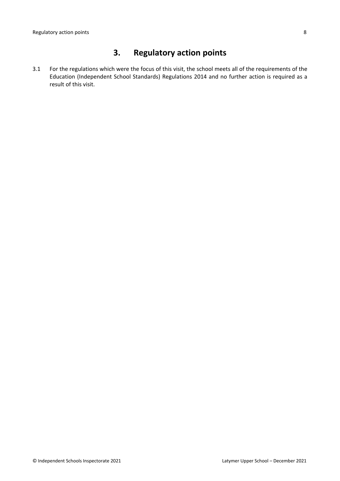# **3. Regulatory action points**

3.1 For the regulations which were the focus of this visit, the school meets all of the requirements of the Education (Independent School Standards) Regulations 2014 and no further action is required as a result of this visit.